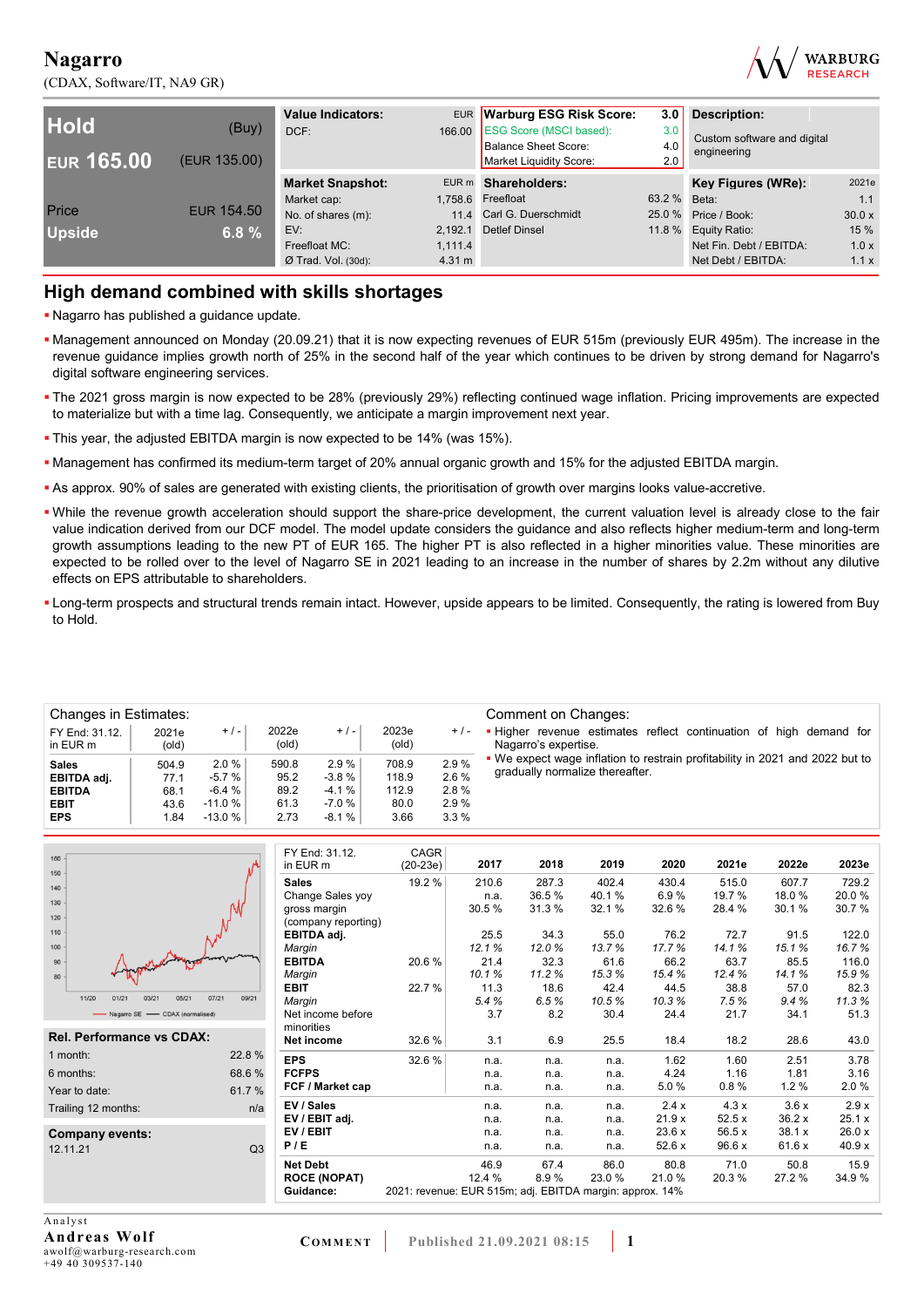(CDAX, Software/IT, NA9 GR)



| <b>Hold</b><br><b>EUR 165.00</b> | (Buy)<br>(EUR 135.00) | <b>Value Indicators:</b><br>DCF: | 166.00  | EUR Warburg ESG Risk Score:<br><b>ESG Score (MSCI based):</b><br><b>Balance Sheet Score:</b><br>Market Liquidity Score: | 3.0 <sub>1</sub><br>3.0<br>4.0<br>2.0 | <b>Description:</b><br>Custom software and digital<br>engineering |        |
|----------------------------------|-----------------------|----------------------------------|---------|-------------------------------------------------------------------------------------------------------------------------|---------------------------------------|-------------------------------------------------------------------|--------|
|                                  |                       | <b>Market Snapshot:</b>          |         | EUR m Shareholders:                                                                                                     |                                       | Key Figures (WRe):                                                | 2021e  |
|                                  |                       | Market cap:                      |         | 1,758.6 Freefloat                                                                                                       | 63.2 % Beta:                          |                                                                   | 1.1    |
| Price                            | EUR 154.50            | No. of shares (m):               |         | 11.4 Carl G. Duerschmidt                                                                                                |                                       | 25.0 % Price / Book:                                              | 30.0 x |
| <b>Upside</b>                    | 6.8 $%$               | EV:                              |         | 2.192.1 Detlef Dinsel                                                                                                   |                                       | 11.8 % Equity Ratio:                                              | 15 %   |
|                                  |                       | Freefloat MC:                    | 1.111.4 |                                                                                                                         |                                       | Net Fin. Debt / EBITDA:                                           | 1.0x   |
|                                  |                       | $Ø$ Trad. Vol. (30d):            | 4.31 m  |                                                                                                                         |                                       | Net Debt / EBITDA:                                                | 1.1x   |

## **High demand combined with skills shortages**

- Nagarro has published a guidance update.
- Management announced on Monday (20.09.21) that it is now expecting revenues of EUR 515m (previously EUR 495m). The increase in the revenue guidance implies growth north of 25% in the second half of the year which continues to be driven by strong demand for Nagarro's digital software engineering services.
- . The 2021 gross margin is now expected to be 28% (previously 29%) reflecting continued wage inflation. Pricing improvements are expected to materialize but with a time lag. Consequently, we anticipate a margin improvement next year.
- This year, the adjusted EBITDA margin is now expected to be 14% (was 15%).
- Management has confirmed its medium-term target of 20% annual organic growth and 15% for the adjusted EBITDA margin.
- As approx. 90% of sales are generated with existing clients, the prioritisation of growth over margins looks value-accretive.
- While the revenue growth acceleration should support the share-price development, the current valuation level is already close to the fair value indication derived from our DCF model. The model update considers the guidance and also reflects higher medium-term and long-term growth assumptions leading to the new PT of EUR 165. The higher PT is also reflected in a higher minorities value. These minorities are expected to be rolled over to the level of Nagarro SE in 2021 leading to an increase in the number of shares by 2.2m without any dilutive effects on EPS attributable to shareholders.
- Long-term prospects and structural trends remain intact. However, upside appears to be limited. Consequently, the rating is lowered from Buy to Hold.

| Changes in Estimates:      |                |           |                |         |                |       | Comment on Changes:                                                                        |
|----------------------------|----------------|-----------|----------------|---------|----------------|-------|--------------------------------------------------------------------------------------------|
| FY End: 31.12.<br>in EUR m | 2021e<br>(old) | $+/-$     | 2022e<br>(old) | $+/-$   | 2023e<br>(old) | $+/-$ | . Higher revenue estimates reflect continuation of high demand for<br>Nagarro's expertise. |
| <b>Sales</b>               | 504.9          | 2.0%      | 590.8          | 2.9%    | 708.9          | 2.9%  | . We expect wage inflation to restrain profitability in 2021 and 2022 but to               |
| EBITDA adj.                | 77.1           | $-5.7%$   | 95.2           | $-3.8%$ | 118.9          | 2.6 % | gradually normalize thereafter.                                                            |
| <b>EBITDA</b>              | 68.1           | $-6.4 \%$ | 89.2           | $-4.1%$ | 112.9          | 2.8%  |                                                                                            |
| <b>EBIT</b>                | 43.6           | $-11.0%$  | 61.3           | $-7.0%$ | 80.0           | 2.9%  |                                                                                            |
| <b>EPS</b>                 | 1.84           | $-13.0%$  | 2.73           | $-8.1%$ | 3.66           | 3.3%  |                                                                                            |

| 160<br>150                                |                     | FY End: 31.12.<br>in EUR m | CAGR<br>$(20-23e)$                                       | 2017   | 2018  | 2019   | 2020   | 2021e  | 2022e  | 2023e  |
|-------------------------------------------|---------------------|----------------------------|----------------------------------------------------------|--------|-------|--------|--------|--------|--------|--------|
| 140                                       |                     | <b>Sales</b>               | 19.2 %                                                   | 210.6  | 287.3 | 402.4  | 430.4  | 515.0  | 607.7  | 729.2  |
|                                           |                     | Change Sales yoy           |                                                          | n.a.   | 36.5% | 40.1%  | 6.9%   | 19.7 % | 18.0%  | 20.0%  |
| 130                                       |                     | gross margin               |                                                          | 30.5%  | 31.3% | 32.1%  | 32.6%  | 28.4 % | 30.1%  | 30.7%  |
| 120                                       |                     | (company reporting)        |                                                          |        |       |        |        |        |        |        |
| 110                                       |                     | EBITDA adj.                |                                                          | 25.5   | 34.3  | 55.0   | 76.2   | 72.7   | 91.5   | 122.0  |
| 100                                       |                     | Margin                     |                                                          | 12.1%  | 12.0% | 13.7%  | 17.7%  | 14.1%  | 15.1%  | 16.7%  |
| 90 <sub>0</sub>                           |                     | <b>EBITDA</b>              | 20.6%                                                    | 21.4   | 32.3  | 61.6   | 66.2   | 63.7   | 85.5   | 116.0  |
| 80                                        |                     | Margin                     |                                                          | 10.1%  | 11.2% | 15.3%  | 15.4%  | 12.4%  | 14.1%  | 15.9%  |
|                                           |                     | <b>EBIT</b>                | 22.7%                                                    | 11.3   | 18.6  | 42.4   | 44.5   | 38.8   | 57.0   | 82.3   |
| 11/20<br>01/21<br>03/21<br>05/21<br>07/21 | 09/21               | Margin                     |                                                          | 5.4%   | 6.5%  | 10.5%  | 10.3%  | 7.5%   | 9.4%   | 11.3%  |
| - Nagarro SE - CDAX (normalised)          |                     | Net income before          |                                                          | 3.7    | 8.2   | 30.4   | 24.4   | 21.7   | 34.1   | 51.3   |
|                                           |                     | minorities                 |                                                          |        |       |        |        |        |        |        |
| <b>Rel. Performance vs CDAX:</b>          |                     | Net income                 | 32.6 %                                                   | 3.1    | 6.9   | 25.5   | 18.4   | 18.2   | 28.6   | 43.0   |
| 1 month:                                  | 22.8%<br><b>EPS</b> |                            | 32.6%                                                    | n.a.   | n.a.  | n.a.   | 1.62   | 1.60   | 2.51   | 3.78   |
| 6 months:                                 | 68.6%               | <b>FCFPS</b>               |                                                          | n.a.   | n.a.  | n.a.   | 4.24   | 1.16   | 1.81   | 3.16   |
| Year to date:                             | 61.7%               | FCF / Market cap           |                                                          | n.a.   | n.a.  | n.a.   | 5.0%   | 0.8%   | 1.2%   | 2.0%   |
| Trailing 12 months:                       | n/a                 | EV / Sales                 |                                                          | n.a.   | n.a.  | n.a.   | 2.4x   | 4.3x   | 3.6x   | 2.9x   |
|                                           |                     | EV / EBIT adj.             |                                                          | n.a.   | n.a.  | n.a.   | 21.9x  | 52.5x  | 36.2 x | 25.1 x |
| Company events:                           |                     | EV / EBIT                  |                                                          | n.a.   | n.a.  | n.a.   | 23.6x  | 56.5 x | 38.1 x | 26.0x  |
| 12.11.21                                  | Q3                  | P/E                        |                                                          | n.a.   | n.a.  | n.a.   | 52.6 x | 96.6 x | 61.6 x | 40.9 x |
|                                           |                     | <b>Net Debt</b>            |                                                          | 46.9   | 67.4  | 86.0   | 80.8   | 71.0   | 50.8   | 15.9   |
|                                           |                     | <b>ROCE (NOPAT)</b>        |                                                          | 12.4 % | 8.9%  | 23.0 % | 21.0%  | 20.3%  | 27.2 % | 34.9%  |
|                                           |                     | Guidance:                  | 2021: revenue: EUR 515m; adj. EBITDA margin: approx. 14% |        |       |        |        |        |        |        |
|                                           |                     |                            |                                                          |        |       |        |        |        |        |        |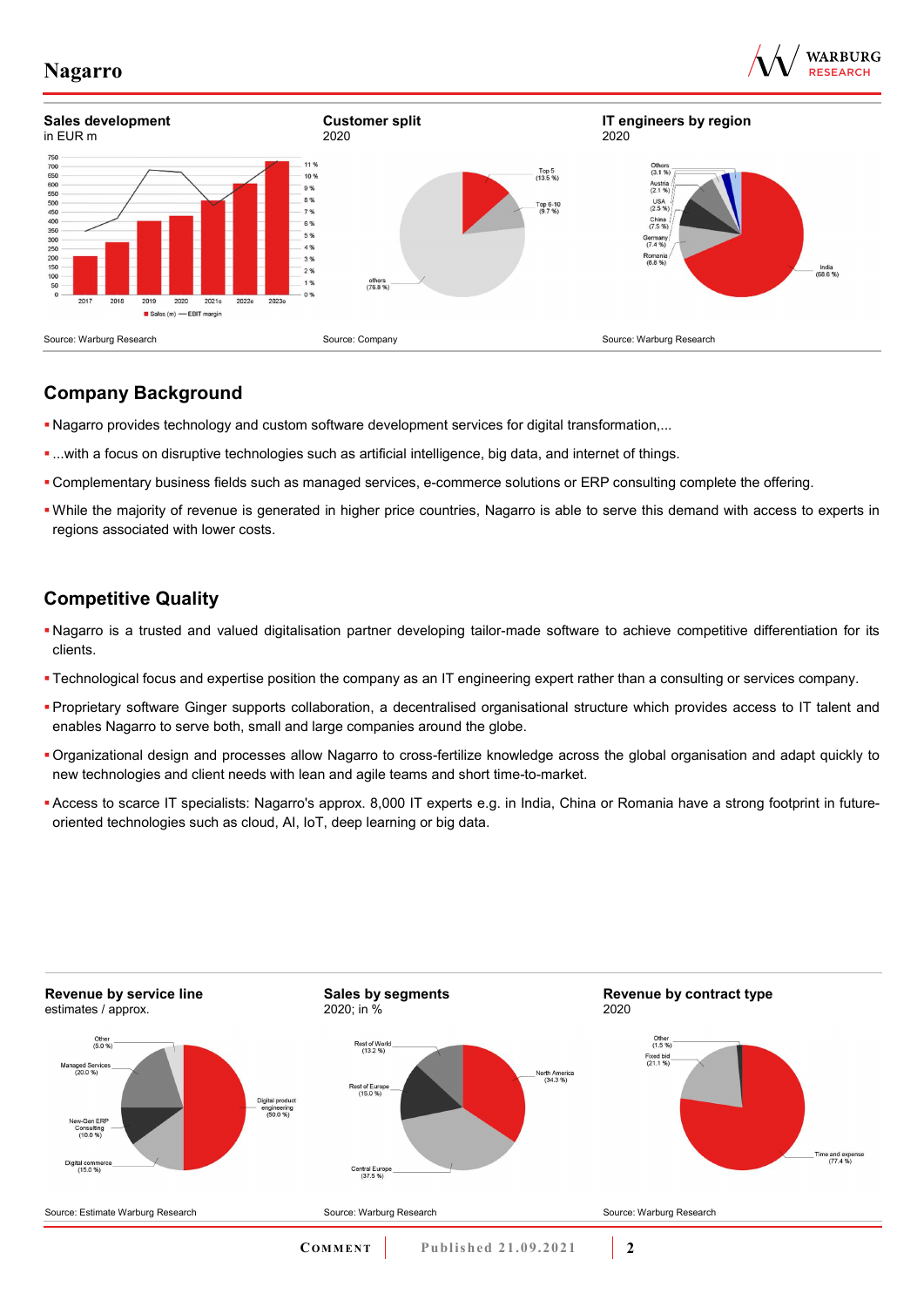





## **Company Background**

- Nagarro provides technology and custom software development services for digital transformation,...
- ...with a focus on disruptive technologies such as artificial intelligence, big data, and internet of things.
- Complementary business fields such as managed services, e-commerce solutions or ERP consulting complete the offering.
- While the majority of revenue is generated in higher price countries, Nagarro is able to serve this demand with access to experts in regions associated with lower costs.

# **Competitive Quality**

- Nagarro is a trusted and valued digitalisation partner developing tailor-made software to achieve competitive differentiation for its clients.
- Technological focus and expertise position the company as an IT engineering expert rather than a consulting or services company.
- Proprietary software Ginger supports collaboration, a decentralised organisational structure which provides access to IT talent and enables Nagarro to serve both, small and large companies around the globe.
- Organizational design and processes allow Nagarro to cross-fertilize knowledge across the global organisation and adapt quickly to new technologies and client needs with lean and agile teams and short time-to-market.
- Access to scarce IT specialists: Nagarro's approx. 8,000 IT experts e.g. in India, China or Romania have a strong footprint in futureoriented technologies such as cloud, AI, IoT, deep learning or big data.

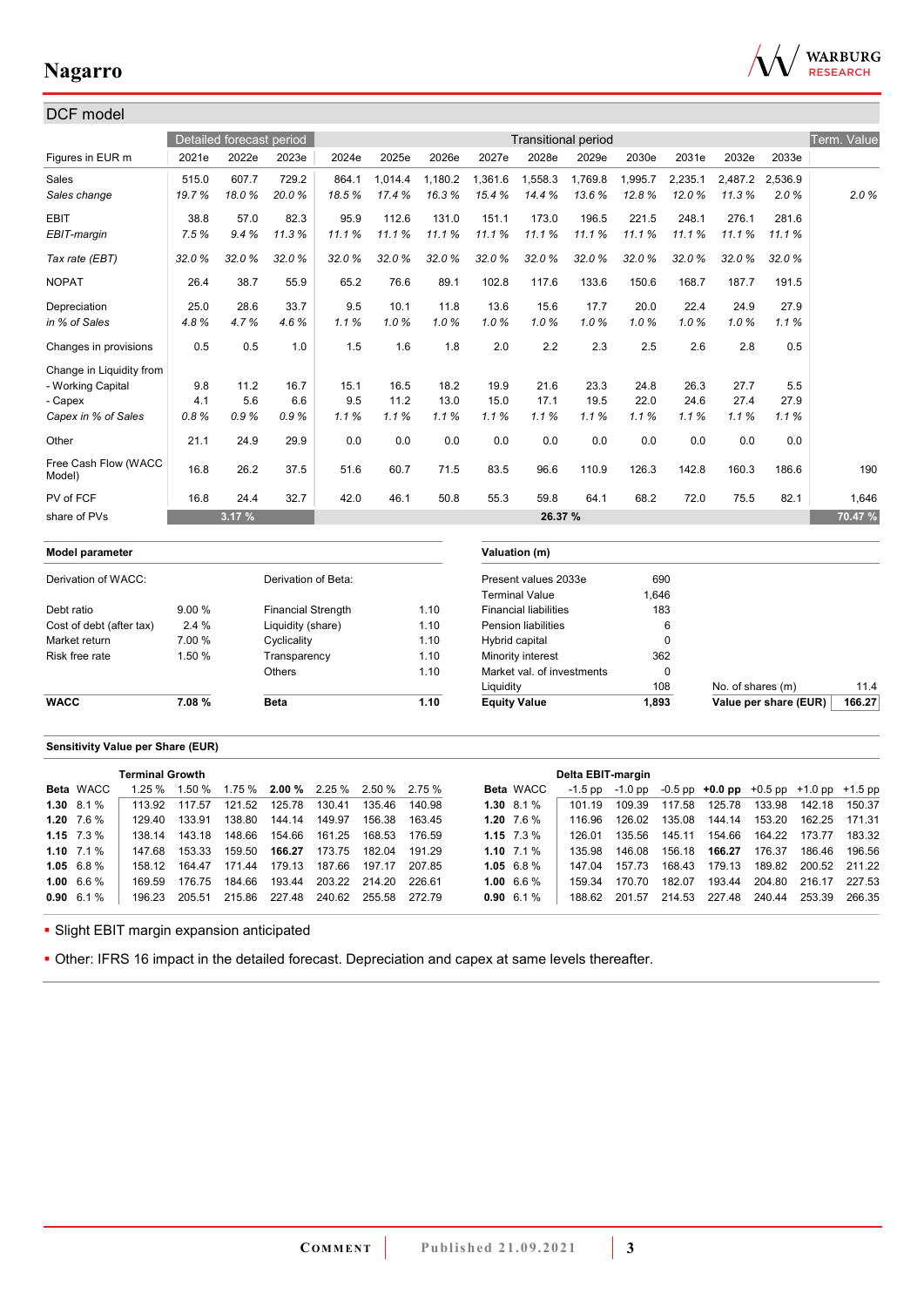

| DCF model                      |        |                          |                           |       |         |         |                     |                              |                            |         |             |                   |                       |             |
|--------------------------------|--------|--------------------------|---------------------------|-------|---------|---------|---------------------|------------------------------|----------------------------|---------|-------------|-------------------|-----------------------|-------------|
|                                |        | Detailed forecast period |                           |       |         |         |                     |                              | <b>Transitional period</b> |         |             |                   |                       | Term. Value |
| Figures in EUR m               | 2021e  | 2022e                    | 2023e                     | 2024e | 2025e   | 2026e   | 2027e               | 2028e                        | 2029e                      | 2030e   | 2031e       | 2032e             | 2033e                 |             |
| Sales                          | 515.0  | 607.7                    | 729.2                     | 864.1 | 1.014.4 | 1.180.2 | 1.361.6             | 1,558.3                      | 1,769.8                    | 1,995.7 | 2,235.1     | 2,487.2           | 2.536.9               |             |
| Sales change                   | 19.7%  | 18.0%                    | 20.0%                     | 18.5% | 17.4%   | 16.3%   | 15.4%               | 14.4%                        | 13.6%                      | 12.8%   | 12.0%       | 11.3%             | 2.0%                  | 2.0%        |
| <b>EBIT</b>                    | 38.8   | 57.0                     | 82.3                      | 95.9  | 112.6   | 131.0   | 151.1               | 173.0                        | 196.5                      | 221.5   | 248.1       | 276.1             | 281.6                 |             |
| EBIT-margin                    | 7.5%   | 9.4%                     | 11.3%                     | 11.1% | 11.1%   | 11.1%   | 11.1%               | 11.1%                        | 11.1%                      | 11.1%   | 11.1%       | 11.1%             | 11.1%                 |             |
| Tax rate (EBT)                 | 32.0%  | 32.0%                    | 32.0%                     | 32.0% | 32.0%   | 32.0%   | 32.0%               | 32.0%                        | 32.0%                      | 32.0%   | 32.0%       | 32.0%             | 32.0%                 |             |
| <b>NOPAT</b>                   | 26.4   | 38.7                     | 55.9                      | 65.2  | 76.6    | 89.1    | 102.8               | 117.6                        | 133.6                      | 150.6   | 168.7       | 187.7             | 191.5                 |             |
| Depreciation                   | 25.0   | 28.6                     | 33.7                      | 9.5   | 10.1    | 11.8    | 13.6                | 15.6                         | 17.7                       | 20.0    | 22.4        | 24.9              | 27.9                  |             |
| in % of Sales                  | 4.8%   | 4.7%                     | 4.6%                      | 1.1%  | 1.0%    | 1.0%    | 1.0%                | 1.0%                         | 1.0%                       | 1.0%    | 1.0%        | 1.0%              | 1.1%                  |             |
| Changes in provisions          | 0.5    | 0.5                      | 1.0                       | 1.5   | 1.6     | 1.8     | 2.0                 | 2.2                          | 2.3                        | 2.5     | 2.6         | 2.8               | 0.5                   |             |
| Change in Liquidity from       |        |                          |                           |       |         |         |                     |                              |                            |         |             |                   |                       |             |
| - Working Capital              | 9.8    | 11.2                     | 16.7                      | 15.1  | 16.5    | 18.2    | 19.9                | 21.6                         | 23.3                       | 24.8    | 26.3        | 27.7              | 5.5                   |             |
| - Capex                        | 4.1    | 5.6                      | 6.6                       | 9.5   | 11.2    | 13.0    | 15.0                | 17.1                         | 19.5                       | 22.0    | 24.6        | 27.4              | 27.9                  |             |
| Capex in % of Sales            | 0.8%   | 0.9%                     | 0.9%                      | 1.1%  | 1.1%    | 1.1%    | 1.1%                | 1.1%                         | 1.1%                       | 1.1%    | 1.1%        | 1.1%              | 1.1%                  |             |
| Other                          | 21.1   | 24.9                     | 29.9                      | 0.0   | 0.0     | 0.0     | 0.0                 | 0.0                          | 0.0                        | 0.0     | 0.0         | 0.0               | 0.0                   |             |
| Free Cash Flow (WACC<br>Model) | 16.8   | 26.2                     | 37.5                      | 51.6  | 60.7    | 71.5    | 83.5                | 96.6                         | 110.9                      | 126.3   | 142.8       | 160.3             | 186.6                 | 190         |
| PV of FCF                      | 16.8   | 24.4                     | 32.7                      | 42.0  | 46.1    | 50.8    | 55.3                | 59.8                         | 64.1                       | 68.2    | 72.0        | 75.5              | 82.1                  | 1,646       |
| share of PVs                   |        | 3.17 %                   |                           |       |         |         |                     | 26.37 %                      |                            |         |             |                   |                       | 70.47 %     |
| Model parameter                |        |                          |                           |       |         |         |                     | Valuation (m)                |                            |         |             |                   |                       |             |
| Derivation of WACC:            |        |                          | Derivation of Beta:       |       |         |         |                     | Present values 2033e         |                            |         | 690         |                   |                       |             |
|                                |        |                          |                           |       |         |         |                     | <b>Terminal Value</b>        |                            | 1,646   |             |                   |                       |             |
| Debt ratio                     | 9.00%  |                          | <b>Financial Strength</b> |       |         | 1.10    |                     | <b>Financial liabilities</b> |                            |         | 183         |                   |                       |             |
| Cost of debt (after tax)       | 2.4%   |                          | Liquidity (share)         |       |         | 1.10    |                     | <b>Pension liabilities</b>   |                            |         | 6           |                   |                       |             |
| Market return                  | 7.00 % |                          | Cyclicality               |       |         | 1.10    | Hybrid capital      |                              |                            |         | $\pmb{0}$   |                   |                       |             |
| Risk free rate                 | 1.50 % |                          | Transparency              |       |         | 1.10    |                     | Minority interest            |                            |         | 362         |                   |                       |             |
|                                |        |                          | <b>Others</b>             |       |         | 1.10    |                     | Market val. of investments   |                            |         | $\mathbf 0$ |                   |                       |             |
|                                |        |                          |                           |       |         |         | Liquidity           |                              |                            |         | 108         | No. of shares (m) |                       | 11.4        |
| <b>WACC</b>                    | 7.08%  |                          | <b>Beta</b>               |       |         | 1.10    | <b>Equity Value</b> |                              |                            | 1.893   |             |                   | Value per share (EUR) | 166.27      |

### **Sensitivity Value per Share (EUR)**

|                    | <b>Terminal Growth</b> |        |                                                                              |        |        |               |        |                    | Delta EBIT-margin |         |        |                                                   |        |                      |               |
|--------------------|------------------------|--------|------------------------------------------------------------------------------|--------|--------|---------------|--------|--------------------|-------------------|---------|--------|---------------------------------------------------|--------|----------------------|---------------|
| <b>Beta</b> WACC   | $1.25 \%$              |        | $1.50\%$ $1.75\%$ <b>2.00</b> % $2.25\%$ 2.50 <sup>%</sup> 2.75 <sup>%</sup> |        |        |               |        | <b>Beta</b> WACC   | $-1.5$ pp         | -1.0 pp |        | $-0.5$ pp $+0.0$ pp $+0.5$ pp $+1.0$ pp $+1.5$ pp |        |                      |               |
| $1.30\quad 8.1\%$  | 113.92                 | 117.57 | 121.52                                                                       | 125.78 | 130.41 | 135.46        | 140.98 | $1.30\quad 8.1\%$  | 101 19            | 109.39  | 117.58 | 125.78                                            | 133.98 | 142.18               | 150.37        |
| 1.20 $7.6\%$       | 129.40                 | 133.91 | 138.80                                                                       | 144.14 | 149.97 | 156.38        | 163.45 | 1.20 $7.6\%$       | 116.96            | 126.02  | 135.08 | 144.14                                            | 153.20 |                      | 162.25 171.31 |
| 1.15 $7.3\%$       | 138 14                 | 143.18 | 148.66                                                                       | 154.66 | 161.25 | 168.53        | 176.59 | 1.15 $7.3\%$       | 126.01            | 135.56  | 145.11 | 154.66                                            | 164.22 | 173.77               | 183.32        |
| 1.10 $7.1\%$       | 147 68                 | 153.33 | 159.50                                                                       | 166.27 | 173.75 | 182.04        | 191.29 | 1.10 $7.1\%$       | 135 98            | 146.08  | 156.18 | 166.27                                            | 176.37 | 186.46               | 196.56        |
| 1.05 $6.8\%$       | 158 12                 | 164 47 | 171.44                                                                       | 179.13 | 187.66 | 197.17        | 207.85 | 1.05 $6.8\%$       | 147 04            | 157 73  | 168.43 | 179.13                                            | 189.82 | 200.52 211.22        |               |
| 1.00 $6.6\%$       | 169.59                 | 176.75 | 184.66                                                                       | 193.44 |        | 203.22 214.20 | 226.61 | $1.00\;6.6\;\%$    | 159 34            | 170.70  | 182.07 | 193.44                                            |        | 204.80 216.17 227.53 |               |
| $0.90 \quad 6.1\%$ | 196.23                 | 205.51 | 215.86                                                                       | 227.48 | 240.62 | 255.58        | 272.79 | $0.90 \quad 6.1\%$ | 188.62            | 201.57  | 214.53 | 227.48                                            | 240.44 | 253.39               | 266.35        |
|                    |                        |        |                                                                              |        |        |               |        |                    |                   |         |        |                                                   |        |                      |               |

**- Slight EBIT margin expansion anticipated** 

Other: IFRS 16 impact in the detailed forecast. Depreciation and capex at same levels thereafter.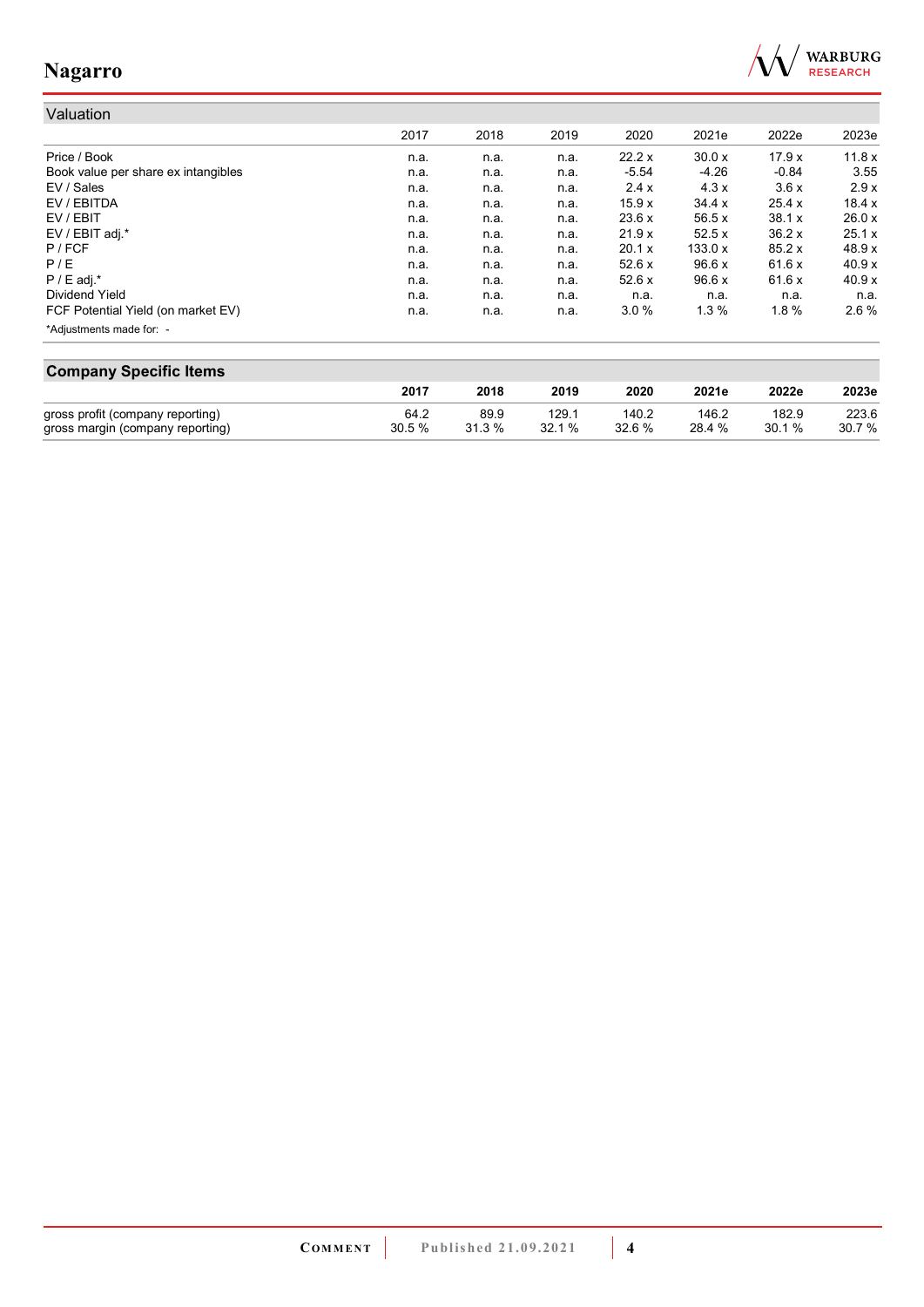

#### Valuation 2017 2018 2019 2020 2021e 2022e 2023e Price / Book n.a. n.a. n.a. 22.2 x 30.0 x 17.9 x 11.8 x Book value per share ex intangibles **n.a.** n.a. n.a. n.a. n.a. -5.54 -4.26 -0.84 3.55<br>EV / Sales 3.6 x 2.9 x n.a. n.a. n.a. 2.4 x 4.3 x 3.6 x 2.9 x EV / Sales n.a. n.a. n.a. 2.4 x 4.3 x 3.6 x 2.9 x EV / EBITDA n.a. n.a. n.a. 15.9 x 34.4 x 25.4 x 18.4 x EV / EBIT n.a. n.a. n.a. 23.6 x 56.5 x 38.1 x 26.0 x EV / EBIT adj.\* n.a. n.a. n.a. 21.9 x 52.5 x 36.2 x 25.1 x P / FCF n.a. n.a. n.a. 20.1 x 133.0 x 85.2 x 48.9 x P / E n.a. n.a. n.a. 52.6 x 96.6 x 61.6 x 40.9 x P / E adj.\* n.a. n.a. n.a. 52.6 x 96.6 x 61.6 x 40.9 x Dividend Yield n.a. n.a. n.a. n.a. n.a. n.a. n.a. FCF Potential Yield (on market EV) **n.a.** n.a. n.a. n.a. 3.0 % 1.3 % 1.8 % 2.6 % \*Adjustments made for: -

| <b>Company Specific Items</b>    |       |        |       |        |        |       |        |  |
|----------------------------------|-------|--------|-------|--------|--------|-------|--------|--|
|                                  | 2017  | 2018   | 2019  | 2020   | 2021e  | 2022e | 2023e  |  |
| gross profit (company reporting) | 64.2  | 89.9   | 129.1 | 140.2  | 146.2  | 182.9 | 223.6  |  |
| gross margin (company reporting) | 30.5% | 31.3 % | 32.1% | 32.6 % | 28.4 % | 30.1% | 30.7 % |  |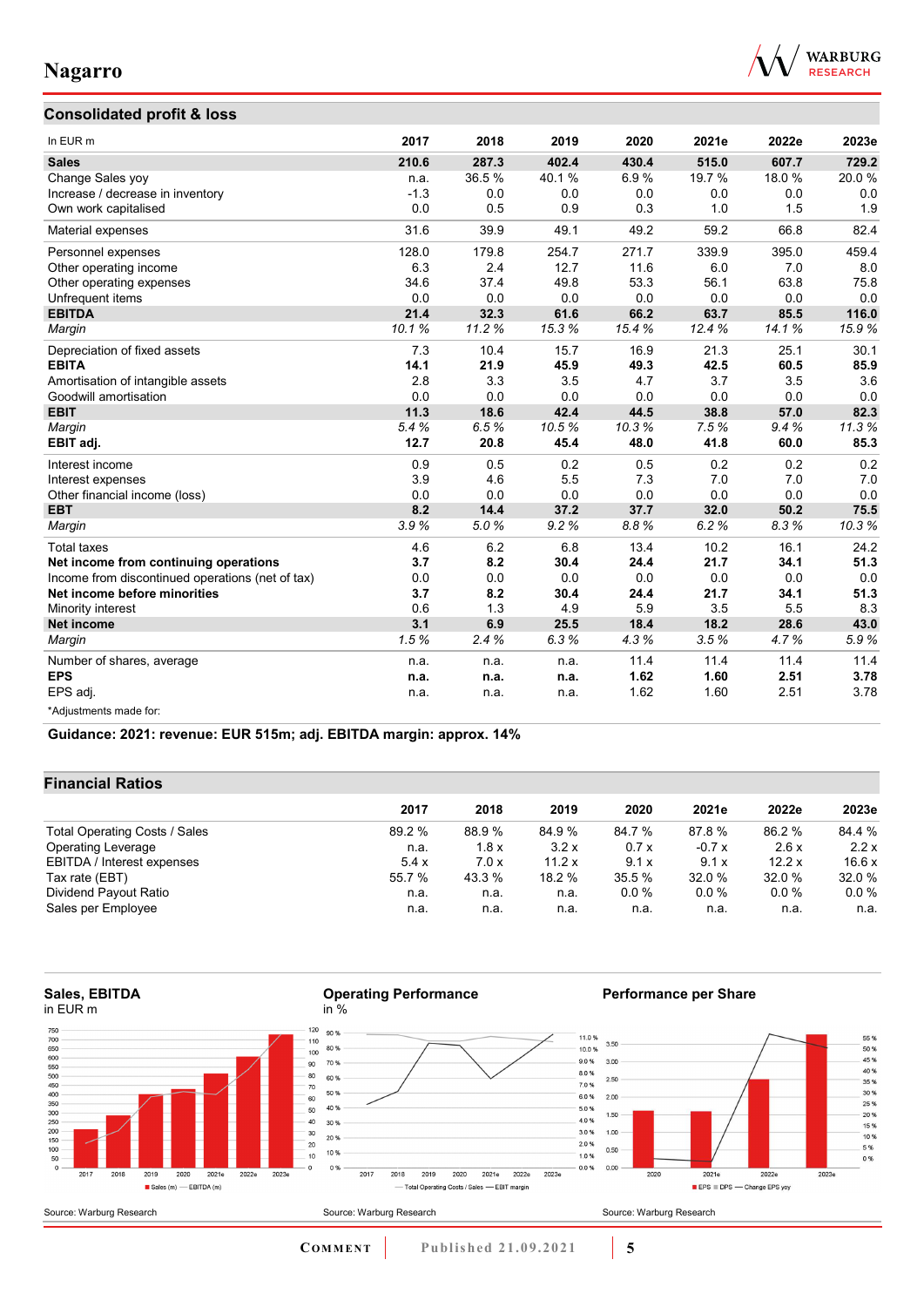

55 %

 $50\%$ <br> $50\%$ <br> $45\%$ <br> $40\%$ <br> $35\%$ 

 $30%$ <br> $25%$ 

 $20%$ <br>15 %

 $10%$ <br> $5%$ <br> $0%$ 

## **Consolidated profit & loss**

| In EUR m                                         | 2017   | 2018  | 2019  | 2020  | 2021e  | 2022e | 2023e |
|--------------------------------------------------|--------|-------|-------|-------|--------|-------|-------|
| <b>Sales</b>                                     | 210.6  | 287.3 | 402.4 | 430.4 | 515.0  | 607.7 | 729.2 |
| Change Sales yoy                                 | n.a.   | 36.5% | 40.1% | 6.9%  | 19.7 % | 18.0% | 20.0% |
| Increase / decrease in inventory                 | $-1.3$ | 0.0   | 0.0   | 0.0   | 0.0    | 0.0   | 0.0   |
| Own work capitalised                             | 0.0    | 0.5   | 0.9   | 0.3   | 1.0    | 1.5   | 1.9   |
| Material expenses                                | 31.6   | 39.9  | 49.1  | 49.2  | 59.2   | 66.8  | 82.4  |
| Personnel expenses                               | 128.0  | 179.8 | 254.7 | 271.7 | 339.9  | 395.0 | 459.4 |
| Other operating income                           | 6.3    | 2.4   | 12.7  | 11.6  | 6.0    | 7.0   | 8.0   |
| Other operating expenses                         | 34.6   | 37.4  | 49.8  | 53.3  | 56.1   | 63.8  | 75.8  |
| Unfrequent items                                 | 0.0    | 0.0   | 0.0   | 0.0   | 0.0    | 0.0   | 0.0   |
| <b>EBITDA</b>                                    | 21.4   | 32.3  | 61.6  | 66.2  | 63.7   | 85.5  | 116.0 |
| Margin                                           | 10.1%  | 11.2% | 15.3% | 15.4% | 12.4%  | 14.1% | 15.9% |
| Depreciation of fixed assets                     | 7.3    | 10.4  | 15.7  | 16.9  | 21.3   | 25.1  | 30.1  |
| <b>EBITA</b>                                     | 14.1   | 21.9  | 45.9  | 49.3  | 42.5   | 60.5  | 85.9  |
| Amortisation of intangible assets                | 2.8    | 3.3   | 3.5   | 4.7   | 3.7    | 3.5   | 3.6   |
| Goodwill amortisation                            | 0.0    | 0.0   | 0.0   | 0.0   | 0.0    | 0.0   | 0.0   |
| <b>EBIT</b>                                      | 11.3   | 18.6  | 42.4  | 44.5  | 38.8   | 57.0  | 82.3  |
| Margin                                           | 5.4%   | 6.5%  | 10.5% | 10.3% | 7.5%   | 9.4%  | 11.3% |
| EBIT adj.                                        | 12.7   | 20.8  | 45.4  | 48.0  | 41.8   | 60.0  | 85.3  |
| Interest income                                  | 0.9    | 0.5   | 0.2   | 0.5   | 0.2    | 0.2   | 0.2   |
| Interest expenses                                | 3.9    | 4.6   | 5.5   | 7.3   | 7.0    | 7.0   | 7.0   |
| Other financial income (loss)                    | 0.0    | 0.0   | 0.0   | 0.0   | 0.0    | 0.0   | 0.0   |
| <b>EBT</b>                                       | 8.2    | 14.4  | 37.2  | 37.7  | 32.0   | 50.2  | 75.5  |
| Margin                                           | 3.9%   | 5.0%  | 9.2%  | 8.8%  | 6.2%   | 8.3%  | 10.3% |
| <b>Total taxes</b>                               | 4.6    | 6.2   | 6.8   | 13.4  | 10.2   | 16.1  | 24.2  |
| Net income from continuing operations            | 3.7    | 8.2   | 30.4  | 24.4  | 21.7   | 34.1  | 51.3  |
| Income from discontinued operations (net of tax) | 0.0    | 0.0   | 0.0   | 0.0   | 0.0    | 0.0   | 0.0   |
| Net income before minorities                     | 3.7    | 8.2   | 30.4  | 24.4  | 21.7   | 34.1  | 51.3  |
| Minority interest                                | 0.6    | 1.3   | 4.9   | 5.9   | 3.5    | 5.5   | 8.3   |
| <b>Net income</b>                                | 3.1    | 6.9   | 25.5  | 18.4  | 18.2   | 28.6  | 43.0  |
| Margin                                           | 1.5%   | 2.4%  | 6.3%  | 4.3%  | 3.5%   | 4.7%  | 5.9%  |
| Number of shares, average                        | n.a.   | n.a.  | n.a.  | 11.4  | 11.4   | 11.4  | 11.4  |
| <b>EPS</b>                                       | n.a.   | n.a.  | n.a.  | 1.62  | 1.60   | 2.51  | 3.78  |
| EPS adj.                                         | n.a.   | n.a.  | n.a.  | 1.62  | 1.60   | 2.51  | 3.78  |
| *Adjustments made for:                           |        |       |       |       |        |       |       |

**Guidance: 2021: revenue: EUR 515m; adj. EBITDA margin: approx. 14%**

### **Financial Ratios**

|                               | 2017   | 2018   | 2019   | 2020   | 2021e   | 2022e   | 2023e   |
|-------------------------------|--------|--------|--------|--------|---------|---------|---------|
| Total Operating Costs / Sales | 89.2 % | 88.9 % | 84.9%  | 84.7 % | 87.8 %  | 86.2 %  | 84.4 %  |
| <b>Operating Leverage</b>     | n.a.   | 1.8x   | 3.2x   | 0.7x   | $-0.7x$ | 2.6x    | 2.2x    |
| EBITDA / Interest expenses    | 5.4x   | 7.0x   | 11.2 x | 9.1x   | 9.1x    | 12.2x   | 16.6x   |
| Tax rate (EBT)                | 55.7 % | 43.3 % | 18.2 % | 35.5 % | 32.0 %  | 32.0%   | 32.0 %  |
| Dividend Payout Ratio         | n.a.   | n.a.   | n.a.   | 0.0%   | $0.0\%$ | $0.0\%$ | $0.0\%$ |
| Sales per Employee            | n.a.   | n.a.   | n.a.   | n.a.   | n.a.    | n.a.    | n.a.    |

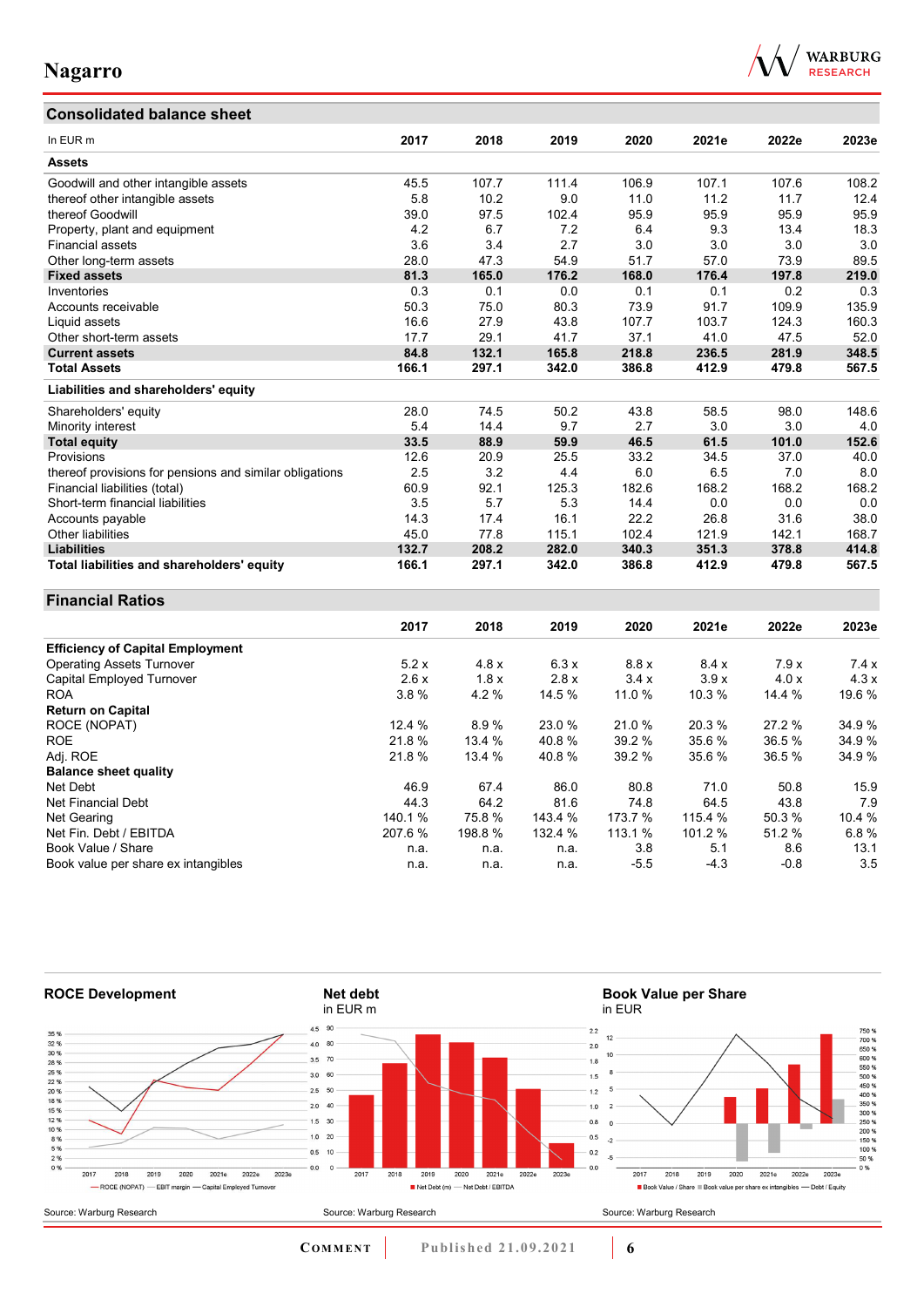## **Consolidated balance sheet**



| In EUR m                                                | 2017   | 2018   | 2019    | 2020    | 2021e   | 2022e  | 2023e  |
|---------------------------------------------------------|--------|--------|---------|---------|---------|--------|--------|
| <b>Assets</b>                                           |        |        |         |         |         |        |        |
| Goodwill and other intangible assets                    | 45.5   | 107.7  | 111.4   | 106.9   | 107.1   | 107.6  | 108.2  |
| thereof other intangible assets                         | 5.8    | 10.2   | 9.0     | 11.0    | 11.2    | 11.7   | 12.4   |
| thereof Goodwill                                        | 39.0   | 97.5   | 102.4   | 95.9    | 95.9    | 95.9   | 95.9   |
|                                                         | 4.2    | 6.7    | 7.2     | 6.4     | 9.3     | 13.4   | 18.3   |
| Property, plant and equipment<br>Financial assets       | 3.6    | 3.4    | 2.7     | 3.0     | 3.0     | 3.0    | 3.0    |
|                                                         | 28.0   | 47.3   | 54.9    | 51.7    | 57.0    | 73.9   | 89.5   |
| Other long-term assets                                  |        |        | 176.2   |         |         |        |        |
| <b>Fixed assets</b>                                     | 81.3   | 165.0  |         | 168.0   | 176.4   | 197.8  | 219.0  |
| Inventories                                             | 0.3    | 0.1    | 0.0     | 0.1     | 0.1     | 0.2    | 0.3    |
| Accounts receivable                                     | 50.3   | 75.0   | 80.3    | 73.9    | 91.7    | 109.9  | 135.9  |
| Liquid assets                                           | 16.6   | 27.9   | 43.8    | 107.7   | 103.7   | 124.3  | 160.3  |
| Other short-term assets                                 | 17.7   | 29.1   | 41.7    | 37.1    | 41.0    | 47.5   | 52.0   |
| <b>Current assets</b>                                   | 84.8   | 132.1  | 165.8   | 218.8   | 236.5   | 281.9  | 348.5  |
| <b>Total Assets</b>                                     | 166.1  | 297.1  | 342.0   | 386.8   | 412.9   | 479.8  | 567.5  |
| Liabilities and shareholders' equity                    |        |        |         |         |         |        |        |
| Shareholders' equity                                    | 28.0   | 74.5   | 50.2    | 43.8    | 58.5    | 98.0   | 148.6  |
| Minority interest                                       | 5.4    | 14.4   | 9.7     | 2.7     | 3.0     | 3.0    | 4.0    |
| <b>Total equity</b>                                     | 33.5   | 88.9   | 59.9    | 46.5    | 61.5    | 101.0  | 152.6  |
| Provisions                                              | 12.6   | 20.9   | 25.5    | 33.2    | 34.5    | 37.0   | 40.0   |
| thereof provisions for pensions and similar obligations | 2.5    | 3.2    | 4.4     | 6.0     | 6.5     | 7.0    | 8.0    |
| Financial liabilities (total)                           | 60.9   | 92.1   | 125.3   | 182.6   | 168.2   | 168.2  | 168.2  |
| Short-term financial liabilities                        | 3.5    | 5.7    | 5.3     | 14.4    | 0.0     | 0.0    | 0.0    |
| Accounts payable                                        | 14.3   | 17.4   | 16.1    | 22.2    | 26.8    | 31.6   | 38.0   |
| Other liabilities                                       | 45.0   | 77.8   | 115.1   | 102.4   | 121.9   | 142.1  | 168.7  |
| <b>Liabilities</b>                                      | 132.7  | 208.2  | 282.0   | 340.3   | 351.3   | 378.8  | 414.8  |
| Total liabilities and shareholders' equity              | 166.1  | 297.1  | 342.0   | 386.8   | 412.9   | 479.8  | 567.5  |
| <b>Financial Ratios</b>                                 |        |        |         |         |         |        |        |
|                                                         | 2017   | 2018   | 2019    | 2020    | 2021e   | 2022e  | 2023e  |
|                                                         |        |        |         |         |         |        |        |
| <b>Efficiency of Capital Employment</b>                 |        |        |         |         |         |        |        |
| <b>Operating Assets Turnover</b>                        | 5.2x   | 4.8x   | 6.3x    | 8.8x    | 8.4x    | 7.9x   | 7.4x   |
| Capital Employed Turnover                               | 2.6x   | 1.8x   | 2.8x    | 3.4x    | 3.9x    | 4.0x   | 4.3x   |
| <b>ROA</b>                                              | 3.8%   | 4.2%   | 14.5 %  | 11.0 %  | 10.3%   | 14.4 % | 19.6%  |
| <b>Return on Capital</b>                                |        |        |         |         |         |        |        |
| ROCE (NOPAT)                                            | 12.4 % | 8.9%   | 23.0 %  | 21.0%   | 20.3%   | 27.2%  | 34.9%  |
| <b>ROE</b>                                              | 21.8%  | 13.4 % | 40.8%   | 39.2 %  | 35.6%   | 36.5%  | 34.9%  |
| Adj. ROE                                                | 21.8%  | 13.4 % | 40.8%   | 39.2 %  | 35.6 %  | 36.5%  | 34.9%  |
| <b>Balance sheet quality</b>                            |        |        |         |         |         |        |        |
| Net Debt                                                | 46.9   | 67.4   | 86.0    | 80.8    | 71.0    | 50.8   | 15.9   |
| Net Financial Debt                                      | 44.3   | 64.2   | 81.6    | 74.8    | 64.5    | 43.8   | 7.9    |
| Net Gearing                                             | 140.1% | 75.8%  | 143.4 % | 173.7 % | 115.4 % | 50.3%  | 10.4 % |
| Net Fin. Debt / EBITDA                                  | 207.6% | 198.8% | 132.4 % | 113.1 % | 101.2 % | 51.2%  | 6.8%   |
| Book Value / Share                                      | n.a.   | n.a.   | n.a.    | 3.8     | 5.1     | 8.6    | 13.1   |
| Book value per share ex intangibles                     | n.a.   | n.a.   | n.a.    | $-5.5$  | $-4.3$  | $-0.8$ | 3.5    |



**COMMENT** Published 21.09.2021 **6**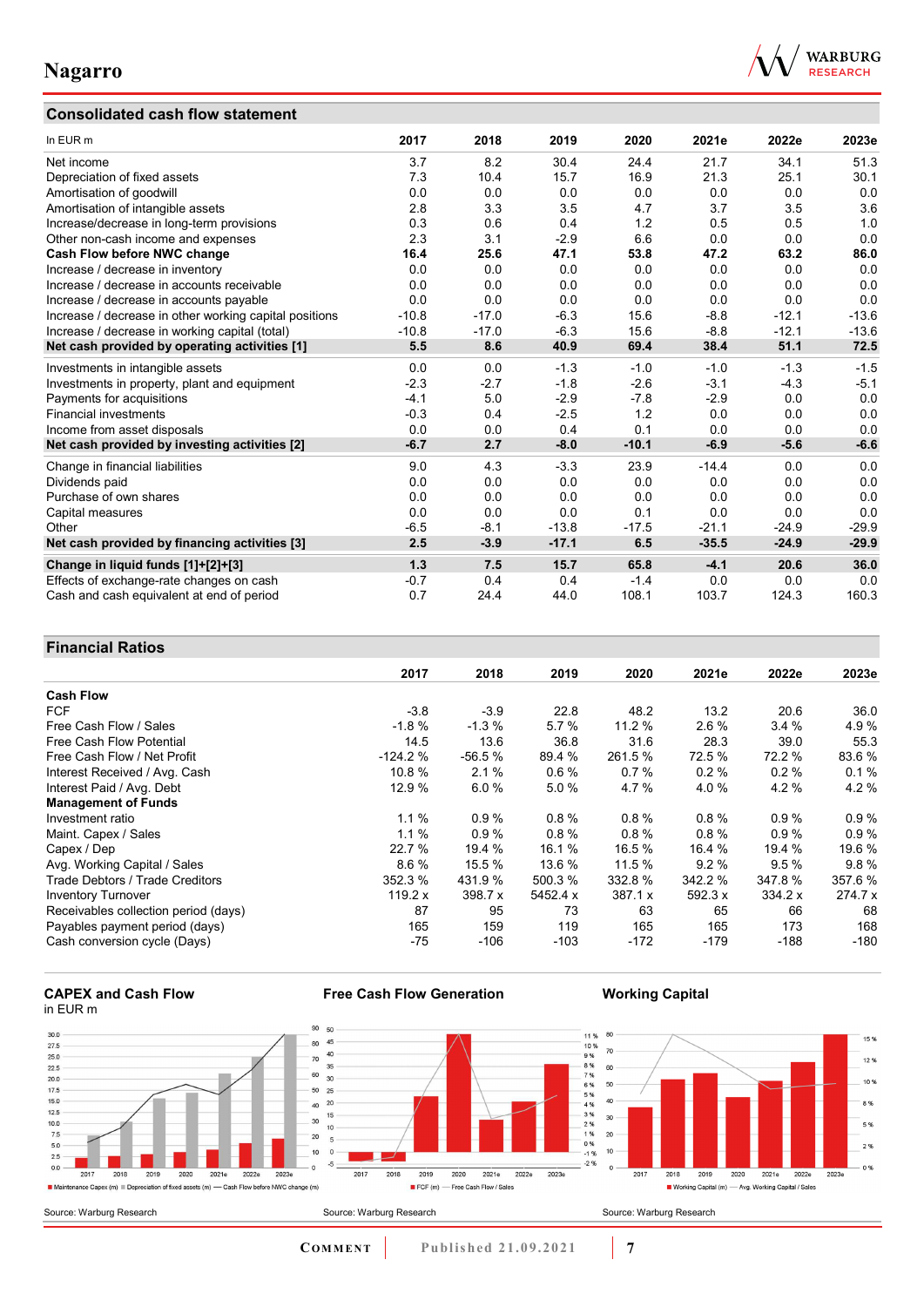## **Consolidated cash flow statement**



| In EUR m                                               | 2017    | 2018    | 2019    | 2020    | 2021e   | 2022e   | 2023e   |
|--------------------------------------------------------|---------|---------|---------|---------|---------|---------|---------|
| Net income                                             | 3.7     | 8.2     | 30.4    | 24.4    | 21.7    | 34.1    | 51.3    |
| Depreciation of fixed assets                           | 7.3     | 10.4    | 15.7    | 16.9    | 21.3    | 25.1    | 30.1    |
| Amortisation of goodwill                               | 0.0     | 0.0     | 0.0     | 0.0     | 0.0     | 0.0     | 0.0     |
| Amortisation of intangible assets                      | 2.8     | 3.3     | 3.5     | 4.7     | 3.7     | 3.5     | 3.6     |
| Increase/decrease in long-term provisions              | 0.3     | 0.6     | 0.4     | 1.2     | 0.5     | 0.5     | 1.0     |
| Other non-cash income and expenses                     | 2.3     | 3.1     | $-2.9$  | 6.6     | 0.0     | 0.0     | 0.0     |
| Cash Flow before NWC change                            | 16.4    | 25.6    | 47.1    | 53.8    | 47.2    | 63.2    | 86.0    |
| Increase / decrease in inventory                       | 0.0     | 0.0     | 0.0     | 0.0     | 0.0     | 0.0     | 0.0     |
| Increase / decrease in accounts receivable             | 0.0     | 0.0     | 0.0     | 0.0     | 0.0     | 0.0     | 0.0     |
| Increase / decrease in accounts payable                | 0.0     | 0.0     | 0.0     | 0.0     | 0.0     | 0.0     | 0.0     |
| Increase / decrease in other working capital positions | $-10.8$ | $-17.0$ | $-6.3$  | 15.6    | $-8.8$  | $-12.1$ | $-13.6$ |
| Increase / decrease in working capital (total)         | $-10.8$ | $-17.0$ | $-6.3$  | 15.6    | $-8.8$  | $-12.1$ | $-13.6$ |
| Net cash provided by operating activities [1]          | 5.5     | 8.6     | 40.9    | 69.4    | 38.4    | 51.1    | 72.5    |
| Investments in intangible assets                       | 0.0     | 0.0     | $-1.3$  | $-1.0$  | $-1.0$  | $-1.3$  | $-1.5$  |
| Investments in property, plant and equipment           | $-2.3$  | $-2.7$  | $-1.8$  | $-2.6$  | $-3.1$  | $-4.3$  | $-5.1$  |
| Payments for acquisitions                              | $-4.1$  | 5.0     | $-2.9$  | $-7.8$  | $-2.9$  | 0.0     | 0.0     |
| <b>Financial investments</b>                           | $-0.3$  | 0.4     | $-2.5$  | 1.2     | 0.0     | 0.0     | 0.0     |
| Income from asset disposals                            | 0.0     | 0.0     | 0.4     | 0.1     | 0.0     | 0.0     | 0.0     |
| Net cash provided by investing activities [2]          | $-6.7$  | 2.7     | $-8.0$  | $-10.1$ | $-6.9$  | $-5.6$  | $-6.6$  |
| Change in financial liabilities                        | 9.0     | 4.3     | $-3.3$  | 23.9    | $-14.4$ | 0.0     | 0.0     |
| Dividends paid                                         | 0.0     | 0.0     | 0.0     | 0.0     | 0.0     | 0.0     | 0.0     |
| Purchase of own shares                                 | 0.0     | 0.0     | 0.0     | 0.0     | 0.0     | 0.0     | 0.0     |
| Capital measures                                       | 0.0     | 0.0     | 0.0     | 0.1     | 0.0     | 0.0     | 0.0     |
| Other                                                  | $-6.5$  | $-8.1$  | $-13.8$ | $-17.5$ | $-21.1$ | $-24.9$ | $-29.9$ |
| Net cash provided by financing activities [3]          | 2.5     | $-3.9$  | $-17.1$ | 6.5     | $-35.5$ | $-24.9$ | $-29.9$ |
| Change in liquid funds [1]+[2]+[3]                     | 1.3     | 7.5     | 15.7    | 65.8    | $-4.1$  | 20.6    | 36.0    |
| Effects of exchange-rate changes on cash               | $-0.7$  | 0.4     | 0.4     | $-1.4$  | 0.0     | 0.0     | 0.0     |
| Cash and cash equivalent at end of period              | 0.7     | 24.4    | 44.0    | 108.1   | 103.7   | 124.3   | 160.3   |

## **Financial Ratios**

|                                      | 2017      | 2018     | 2019     | 2020    | 2021e     | 2022e   | 2023e   |
|--------------------------------------|-----------|----------|----------|---------|-----------|---------|---------|
| <b>Cash Flow</b>                     |           |          |          |         |           |         |         |
| <b>FCF</b>                           | $-3.8$    | $-3.9$   | 22.8     | 48.2    | 13.2      | 20.6    | 36.0    |
| Free Cash Flow / Sales               | $-1.8%$   | $-1.3%$  | 5.7%     | 11.2%   | $2.6\%$   | 3.4%    | 4.9%    |
| Free Cash Flow Potential             | 14.5      | 13.6     | 36.8     | 31.6    | 28.3      | 39.0    | 55.3    |
| Free Cash Flow / Net Profit          | $-124.2%$ | $-56.5%$ | 89.4 %   | 261.5 % | 72.5 %    | 72.2 %  | 83.6%   |
| Interest Received / Avg. Cash        | 10.8%     | 2.1%     | 0.6%     | 0.7%    | $0.2 \%$  | 0.2%    | 0.1%    |
| Interest Paid / Avg. Debt            | 12.9 %    | 6.0%     | 5.0%     | 4.7%    | 4.0%      | 4.2%    | 4.2%    |
| <b>Management of Funds</b>           |           |          |          |         |           |         |         |
| Investment ratio                     | 1.1%      | 0.9%     | 0.8%     | 0.8%    | 0.8%      | 0.9%    | 0.9%    |
| Maint. Capex / Sales                 | 1.1%      | 0.9%     | $0.8 \%$ | 0.8%    | 0.8%      | 0.9%    | 0.9%    |
| Capex / Dep                          | 22.7 %    | 19.4 %   | 16.1 %   | 16.5 %  | 16.4 %    | 19.4 %  | 19.6 %  |
| Avg. Working Capital / Sales         | 8.6%      | 15.5 %   | 13.6 %   | 11.5 %  | 9.2%      | 9.5%    | 9.8%    |
| Trade Debtors / Trade Creditors      | 352.3 %   | 431.9 %  | 500.3 %  | 332.8 % | 342.2 %   | 347.8%  | 357.6%  |
| <b>Inventory Turnover</b>            | 119.2 x   | 398.7 x  | 5452.4 x | 387.1 x | 592.3 $x$ | 334.2 x | 274.7 x |
| Receivables collection period (days) | 87        | 95       | 73       | 63      | 65        | 66      | 68      |
| Payables payment period (days)       | 165       | 159      | 119      | 165     | 165       | 173     | 168     |
| Cash conversion cycle (Days)         | -75       | -106     | $-103$   | $-172$  | $-179$    | $-188$  | $-180$  |

#### **CAPEX and Cash Flow** in EUR m



**Free Cash Flow Generation**

**COMMENT Published 21.09.2021 <b>7** 

**Working Capital**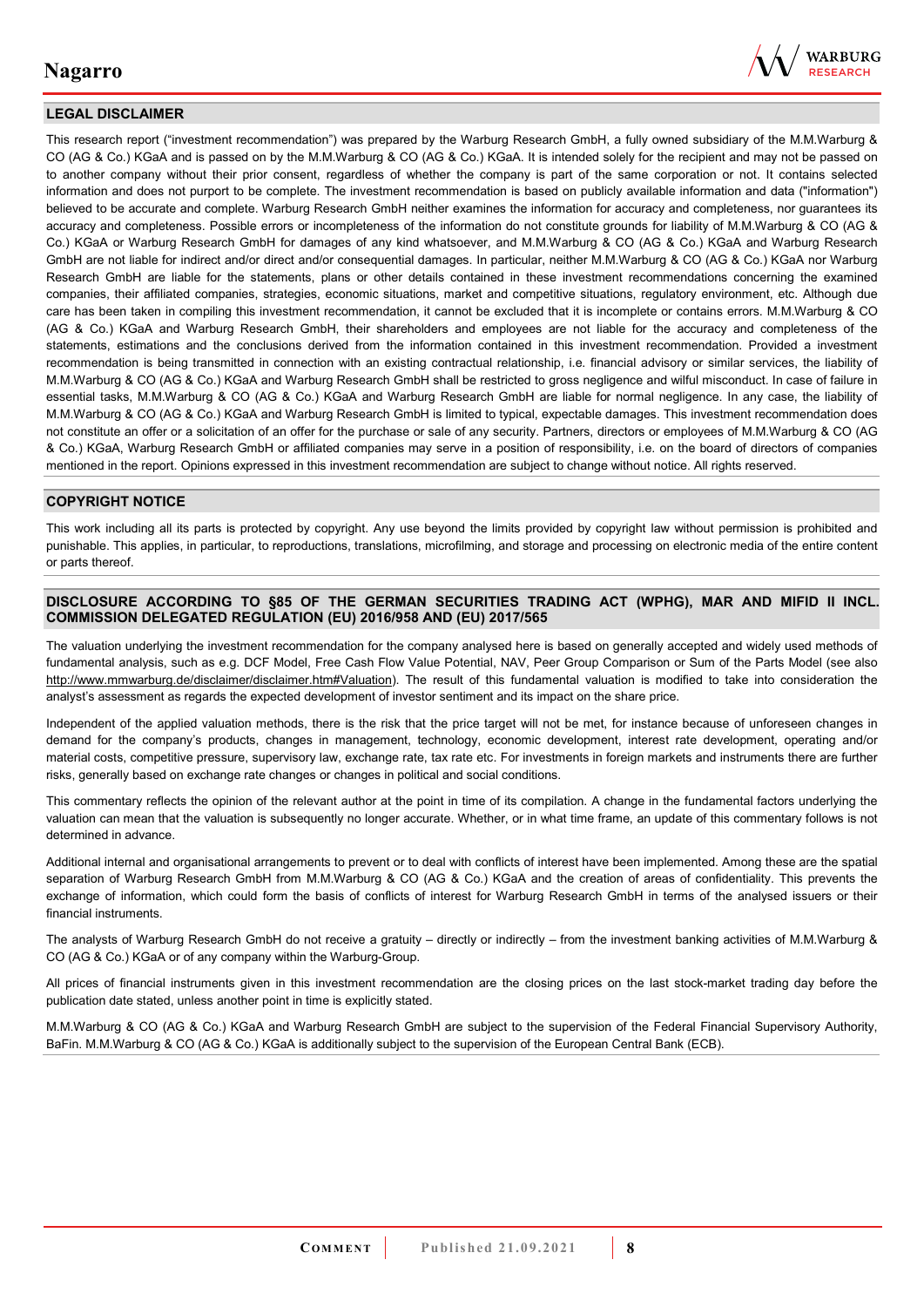

### **LEGAL DISCLAIMER**

This research report ("investment recommendation") was prepared by the Warburg Research GmbH, a fully owned subsidiary of the M.M.Warburg & CO (AG & Co.) KGaA and is passed on by the M.M.Warburg & CO (AG & Co.) KGaA. It is intended solely for the recipient and may not be passed on to another company without their prior consent, regardless of whether the company is part of the same corporation or not. It contains selected information and does not purport to be complete. The investment recommendation is based on publicly available information and data ("information") believed to be accurate and complete. Warburg Research GmbH neither examines the information for accuracy and completeness, nor guarantees its accuracy and completeness. Possible errors or incompleteness of the information do not constitute grounds for liability of M.M.Warburg & CO (AG & Co.) KGaA or Warburg Research GmbH for damages of any kind whatsoever, and M.M.Warburg & CO (AG & Co.) KGaA and Warburg Research GmbH are not liable for indirect and/or direct and/or consequential damages. In particular, neither M.M.Warburg & CO (AG & Co.) KGaA nor Warburg Research GmbH are liable for the statements, plans or other details contained in these investment recommendations concerning the examined companies, their affiliated companies, strategies, economic situations, market and competitive situations, regulatory environment, etc. Although due care has been taken in compiling this investment recommendation, it cannot be excluded that it is incomplete or contains errors. M.M.Warburg & CO (AG & Co.) KGaA and Warburg Research GmbH, their shareholders and employees are not liable for the accuracy and completeness of the statements, estimations and the conclusions derived from the information contained in this investment recommendation. Provided a investment recommendation is being transmitted in connection with an existing contractual relationship, i.e. financial advisory or similar services, the liability of M.M.Warburg & CO (AG & Co.) KGaA and Warburg Research GmbH shall be restricted to gross negligence and wilful misconduct. In case of failure in essential tasks, M.M.Warburg & CO (AG & Co.) KGaA and Warburg Research GmbH are liable for normal negligence. In any case, the liability of M.M.Warburg & CO (AG & Co.) KGaA and Warburg Research GmbH is limited to typical, expectable damages. This investment recommendation does not constitute an offer or a solicitation of an offer for the purchase or sale of any security. Partners, directors or employees of M.M.Warburg & CO (AG & Co.) KGaA, Warburg Research GmbH or affiliated companies may serve in a position of responsibility, i.e. on the board of directors of companies mentioned in the report. Opinions expressed in this investment recommendation are subject to change without notice. All rights reserved.

### **COPYRIGHT NOTICE**

This work including all its parts is protected by copyright. Any use beyond the limits provided by copyright law without permission is prohibited and punishable. This applies, in particular, to reproductions, translations, microfilming, and storage and processing on electronic media of the entire content or parts thereof.

#### **DISCLOSURE ACCORDING TO §85 OF THE GERMAN SECURITIES TRADING ACT (WPHG), MAR AND MIFID II INCL. COMMISSION DELEGATED REGULATION (EU) 2016/958 AND (EU) 2017/565**

The valuation underlying the investment recommendation for the company analysed here is based on generally accepted and widely used methods of fundamental analysis, such as e.g. DCF Model, Free Cash Flow Value Potential, NAV, Peer Group Comparison or Sum of the Parts Model (see also [http://www.mmwarburg.de/disclaimer/disclaimer.htm#Valuation\)](http://www.mmwarburg.de/disclaimer/disclaimer.htm#Valuation). The result of this fundamental valuation is modified to take into consideration the analyst's assessment as regards the expected development of investor sentiment and its impact on the share price.

Independent of the applied valuation methods, there is the risk that the price target will not be met, for instance because of unforeseen changes in demand for the company's products, changes in management, technology, economic development, interest rate development, operating and/or material costs, competitive pressure, supervisory law, exchange rate, tax rate etc. For investments in foreign markets and instruments there are further risks, generally based on exchange rate changes or changes in political and social conditions.

This commentary reflects the opinion of the relevant author at the point in time of its compilation. A change in the fundamental factors underlying the valuation can mean that the valuation is subsequently no longer accurate. Whether, or in what time frame, an update of this commentary follows is not determined in advance.

Additional internal and organisational arrangements to prevent or to deal with conflicts of interest have been implemented. Among these are the spatial separation of Warburg Research GmbH from M.M.Warburg & CO (AG & Co.) KGaA and the creation of areas of confidentiality. This prevents the exchange of information, which could form the basis of conflicts of interest for Warburg Research GmbH in terms of the analysed issuers or their financial instruments.

The analysts of Warburg Research GmbH do not receive a gratuity – directly or indirectly – from the investment banking activities of M.M.Warburg & CO (AG & Co.) KGaA or of any company within the Warburg-Group.

All prices of financial instruments given in this investment recommendation are the closing prices on the last stock-market trading day before the publication date stated, unless another point in time is explicitly stated.

M.M.Warburg & CO (AG & Co.) KGaA and Warburg Research GmbH are subject to the supervision of the Federal Financial Supervisory Authority, BaFin. M.M.Warburg & CO (AG & Co.) KGaA is additionally subject to the supervision of the European Central Bank (ECB).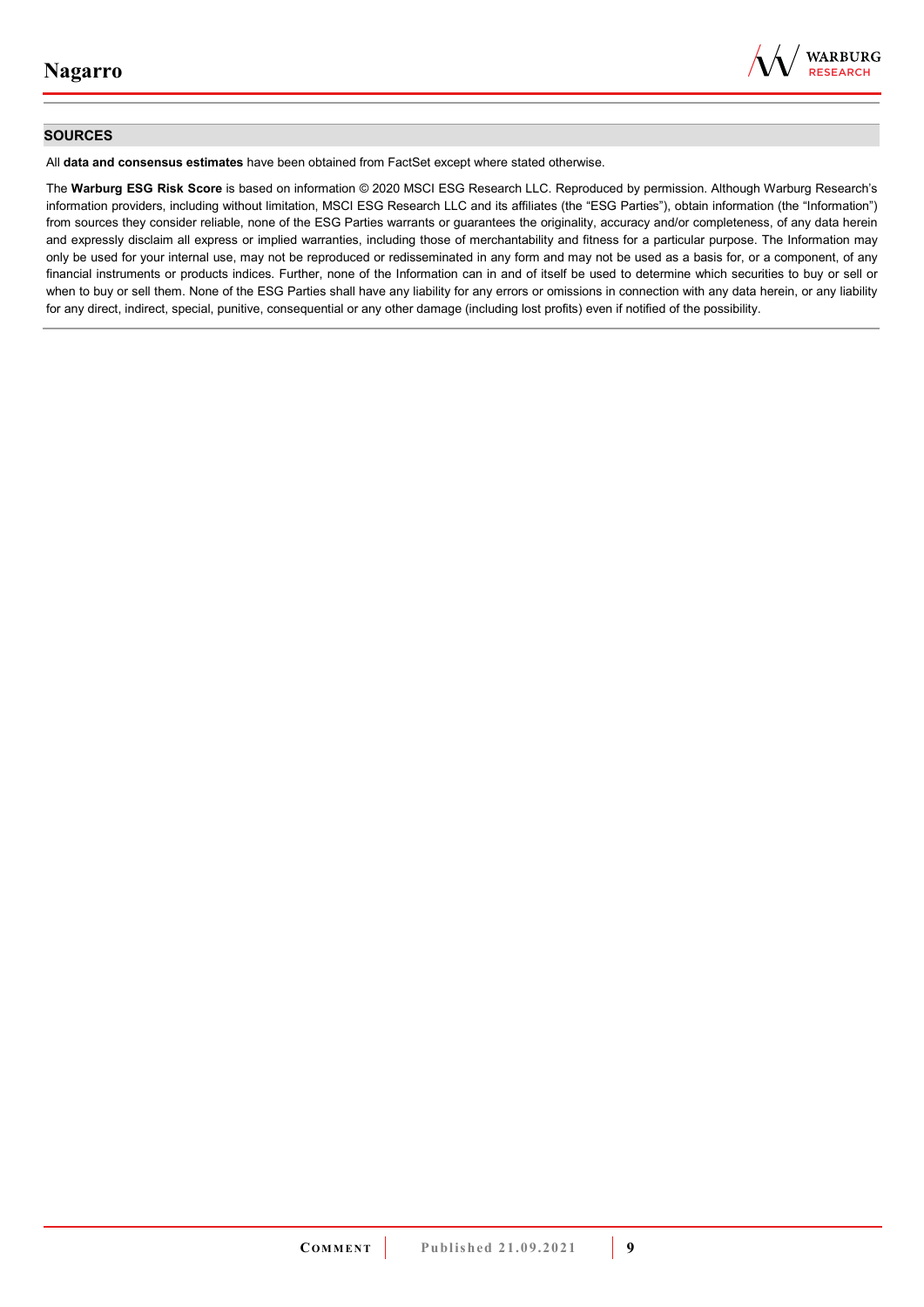

### **SOURCES**

All **data and consensus estimates** have been obtained from FactSet except where stated otherwise.

The **Warburg ESG Risk Score** is based on information © 2020 MSCI ESG Research LLC. Reproduced by permission. Although Warburg Research's information providers, including without limitation, MSCI ESG Research LLC and its affiliates (the "ESG Parties"), obtain information (the "Information") from sources they consider reliable, none of the ESG Parties warrants or guarantees the originality, accuracy and/or completeness, of any data herein and expressly disclaim all express or implied warranties, including those of merchantability and fitness for a particular purpose. The Information may only be used for your internal use, may not be reproduced or redisseminated in any form and may not be used as a basis for, or a component, of any financial instruments or products indices. Further, none of the Information can in and of itself be used to determine which securities to buy or sell or when to buy or sell them. None of the ESG Parties shall have any liability for any errors or omissions in connection with any data herein, or any liability for any direct, indirect, special, punitive, consequential or any other damage (including lost profits) even if notified of the possibility.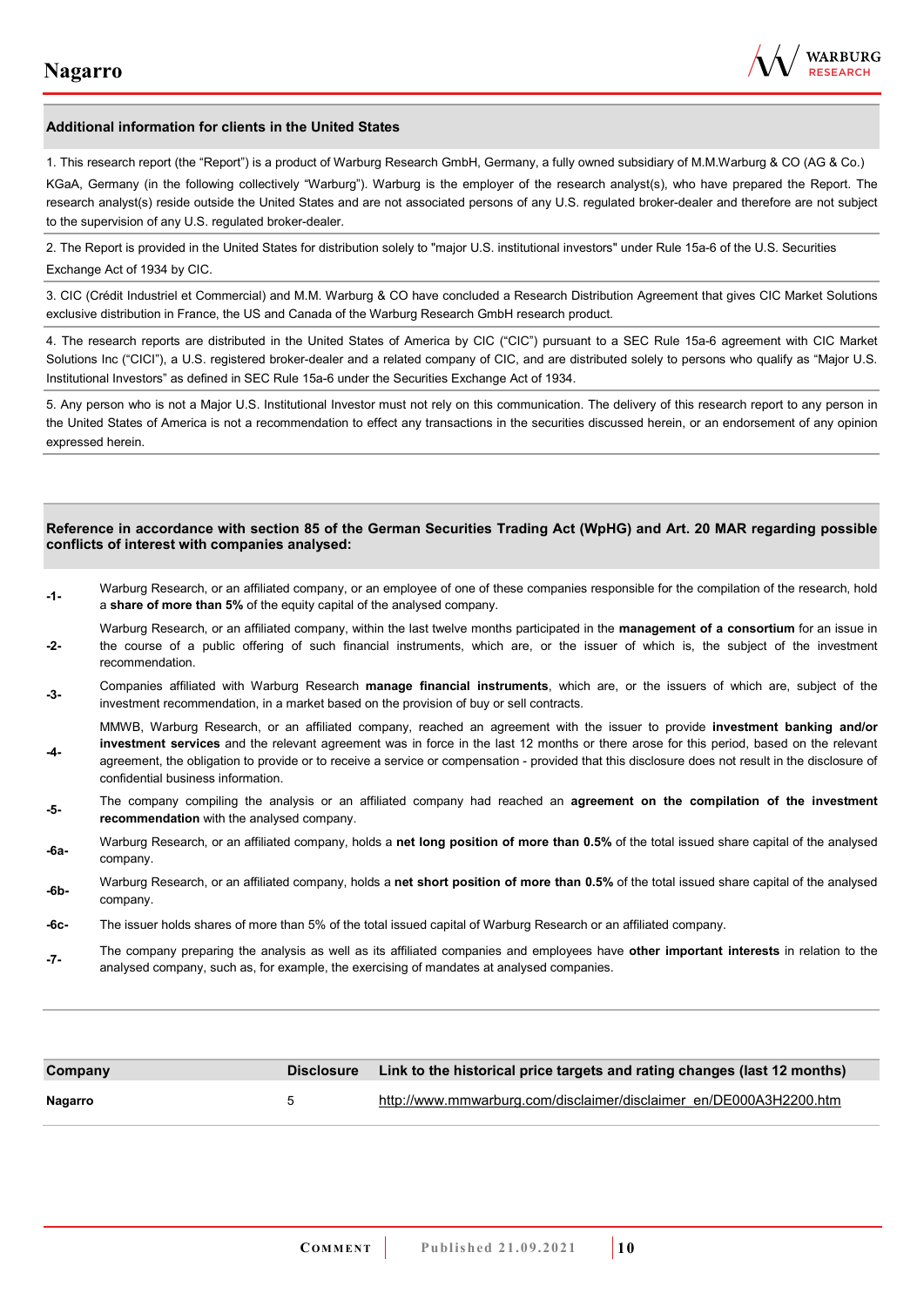

#### **Additional information for clients in the United States**

1. This research report (the "Report") is a product of Warburg Research GmbH, Germany, a fully owned subsidiary of M.M.Warburg & CO (AG & Co.)

KGaA, Germany (in the following collectively "Warburg"). Warburg is the employer of the research analyst(s), who have prepared the Report. The research analyst(s) reside outside the United States and are not associated persons of any U.S. regulated broker-dealer and therefore are not subject to the supervision of any U.S. regulated broker-dealer.

2. The Report is provided in the United States for distribution solely to "major U.S. institutional investors" under Rule 15a-6 of the U.S. Securities Exchange Act of 1934 by CIC.

3. CIC (Crédit Industriel et Commercial) and M.M. Warburg & CO have concluded a Research Distribution Agreement that gives CIC Market Solutions exclusive distribution in France, the US and Canada of the Warburg Research GmbH research product.

4. The research reports are distributed in the United States of America by CIC ("CIC") pursuant to a SEC Rule 15a-6 agreement with CIC Market Solutions Inc ("CICI"), a U.S. registered broker-dealer and a related company of CIC, and are distributed solely to persons who qualify as "Major U.S. Institutional Investors" as defined in SEC Rule 15a-6 under the Securities Exchange Act of 1934.

5. Any person who is not a Major U.S. Institutional Investor must not rely on this communication. The delivery of this research report to any person in the United States of America is not a recommendation to effect any transactions in the securities discussed herein, or an endorsement of any opinion expressed herein.

#### **Reference in accordance with section 85 of the German Securities Trading Act (WpHG) and Art. 20 MAR regarding possible conflicts of interest with companies analysed:**

- **-1-** Warburg Research, or an affiliated company, or an employee of one of these companies responsible for the compilation of the research, hold a **share of more than 5%** of the equity capital of the analysed company.
- **-2-**  Warburg Research, or an affiliated company, within the last twelve months participated in the **management of a consortium** for an issue in the course of a public offering of such financial instruments, which are, or the issuer of which is, the subject of the investment recommendation.
- **-3-** Companies affiliated with Warburg Research **manage financial instruments**, which are, or the issuers of which are, subject of the investment recommendation, in a market based on the provision of buy or sell contracts.

MMWB, Warburg Research, or an affiliated company, reached an agreement with the issuer to provide **investment banking and/or investment services** and the relevant agreement was in force in the last 12 months or there arose for this period, based on the relevant

- **-4**  agreement, the obligation to provide or to receive a service or compensation - provided that this disclosure does not result in the disclosure of confidential business information.
- **-5-** The company compiling the analysis or an affiliated company had reached an **agreement on the compilation of the investment recommendation** with the analysed company.
- **-6a-** Warburg Research, or an affiliated company, holds a **net long position of more than 0.5%** of the total issued share capital of the analysed company.
- **-6b-** Warburg Research, or an affiliated company, holds a **net short position of more than 0.5%** of the total issued share capital of the analysed company.
- **-6c-** The issuer holds shares of more than 5% of the total issued capital of Warburg Research or an affiliated company.
- **-7-** The company preparing the analysis as well as its affiliated companies and employees have **other important interests** in relation to the analysed company, such as, for example, the exercising of mandates at analysed companies.

| Company |   | Disclosure Link to the historical price targets and rating changes (last 12 months) |
|---------|---|-------------------------------------------------------------------------------------|
| Nagarro | 5 | http://www.mmwarburg.com/disclaimer/disclaimer_en/DE000A3H2200.htm                  |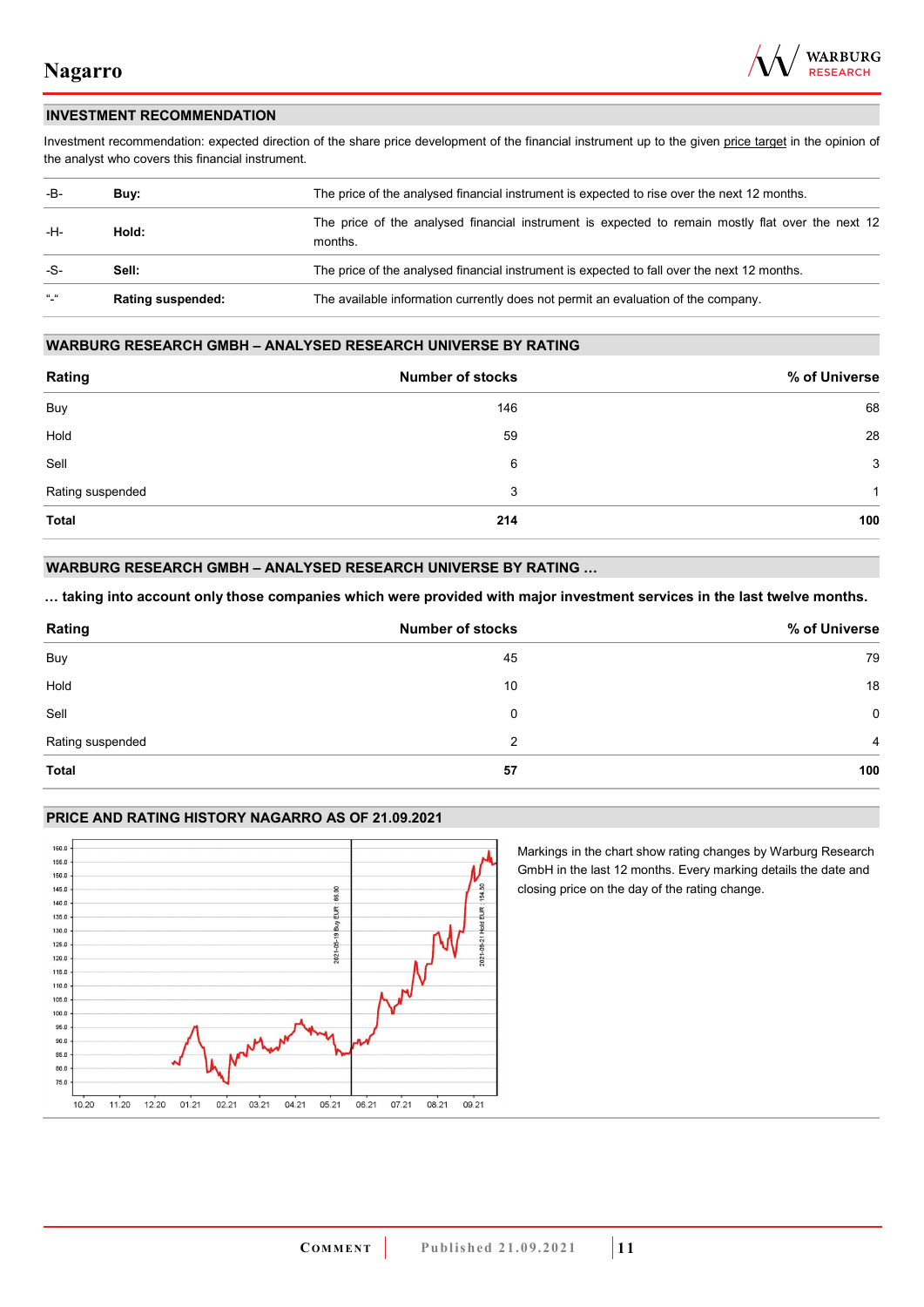

### **INVESTMENT RECOMMENDATION**

Investment recommendation: expected direction of the share price development of the financial instrument up to the given price target in the opinion of the analyst who covers this financial instrument.

| -B-           | Buy:                     | The price of the analysed financial instrument is expected to rise over the next 12 months.                  |  |
|---------------|--------------------------|--------------------------------------------------------------------------------------------------------------|--|
| -H-           | Hold:                    | The price of the analysed financial instrument is expected to remain mostly flat over the next 12<br>months. |  |
| -S-           | Sell:                    | The price of the analysed financial instrument is expected to fall over the next 12 months.                  |  |
| $\frac{1}{2}$ | <b>Rating suspended:</b> | The available information currently does not permit an evaluation of the company.                            |  |

#### **WARBURG RESEARCH GMBH – ANALYSED RESEARCH UNIVERSE BY RATING**

| Rating           | <b>Number of stocks</b> | % of Universe |
|------------------|-------------------------|---------------|
| Buy              | 146                     | 68            |
| Hold             | 59                      | 28            |
| Sell             | 6                       | 3             |
| Rating suspended | 3                       | 1             |
| <b>Total</b>     | 214                     | 100           |

### **WARBURG RESEARCH GMBH – ANALYSED RESEARCH UNIVERSE BY RATING …**

**… taking into account only those companies which were provided with major investment services in the last twelve months.** 

| Rating           | <b>Number of stocks</b> | % of Universe  |
|------------------|-------------------------|----------------|
| Buy              | 45                      | 79             |
| Hold             | 10                      | 18             |
| Sell             | 0                       | $\mathbf 0$    |
| Rating suspended | 2                       | $\overline{4}$ |
| <b>Total</b>     | 57                      | 100            |

### **PRICE AND RATING HISTORY NAGARRO AS OF 21.09.2021**



Markings in the chart show rating changes by Warburg Research GmbH in the last 12 months. Every marking details the date and closing price on the day of the rating change.